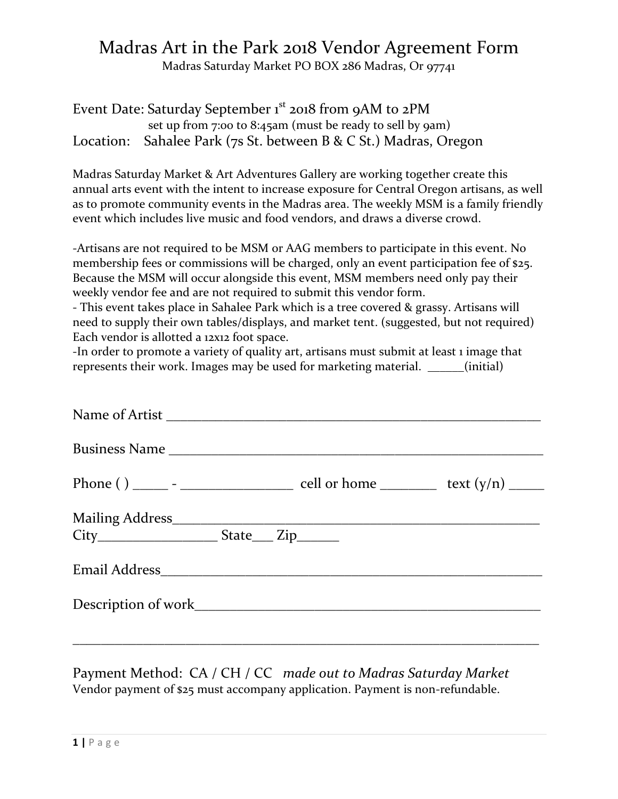## Madras Art in the Park 2018 Vendor Agreement Form

Madras Saturday Market PO BOX 286 Madras, Or 97741

Event Date: Saturday September  $1<sup>st</sup>$  2018 from 9AM to 2PM set up from 7:00 to 8:45am (must be ready to sell by 9am) Location: Sahalee Park (7s St. between B & C St.) Madras, Oregon

Madras Saturday Market & Art Adventures Gallery are working together create this annual arts event with the intent to increase exposure for Central Oregon artisans, as well as to promote community events in the Madras area. The weekly MSM is a family friendly event which includes live music and food vendors, and draws a diverse crowd.

-Artisans are not required to be MSM or AAG members to participate in this event. No membership fees or commissions will be charged, only an event participation fee of \$25. Because the MSM will occur alongside this event, MSM members need only pay their weekly vendor fee and are not required to submit this vendor form.

- This event takes place in Sahalee Park which is a tree covered & grassy. Artisans will need to supply their own tables/displays, and market tent. (suggested, but not required) Each vendor is allotted a 12x12 foot space.

-In order to promote a variety of quality art, artisans must submit at least 1 image that represents their work. Images may be used for marketing material. \_\_\_\_\_\_(initial)

| City________________________State_____ Zip________ |  |  |
|----------------------------------------------------|--|--|
|                                                    |  |  |
|                                                    |  |  |
|                                                    |  |  |

Payment Method: CA / CH / CC *made out to Madras Saturday Market* Vendor payment of \$25 must accompany application. Payment is non-refundable.